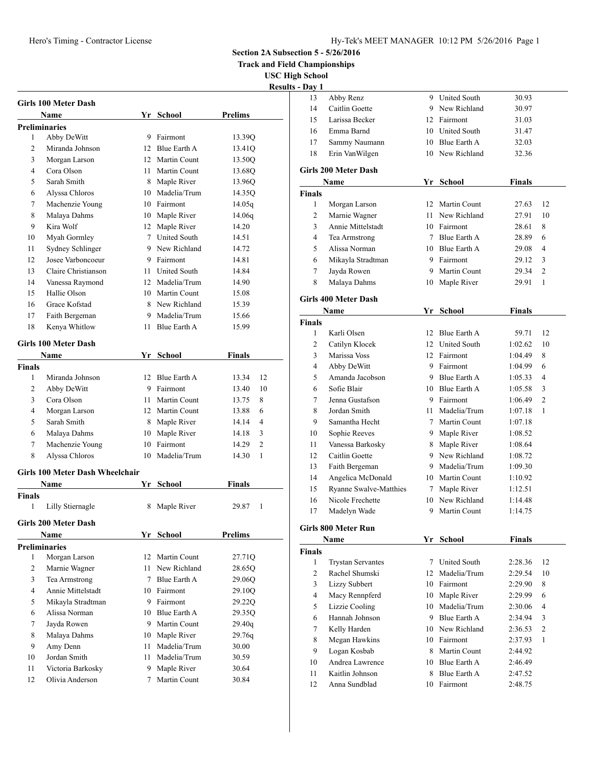**Track and Field Championships**

**USC High School**

# **Results - Day 1**

| Girls 100 Meter Dash |                                        |     |                 |                |  |  |  |
|----------------------|----------------------------------------|-----|-----------------|----------------|--|--|--|
|                      | Name                                   |     | Yr School       | Prelims        |  |  |  |
|                      | <b>Preliminaries</b>                   |     |                 |                |  |  |  |
| 1                    | Abby DeWitt                            |     | 9 Fairmont      | 13.39Q         |  |  |  |
| 2                    | Miranda Johnson                        |     | 12 Blue Earth A | 13.41Q         |  |  |  |
| 3                    | Morgan Larson                          |     | 12 Martin Count | 13.50Q         |  |  |  |
| 4                    | Cora Olson                             |     | 11 Martin Count | 13.68Q         |  |  |  |
| 5                    | Sarah Smith                            |     | 8 Maple River   | 13.96Q         |  |  |  |
| 6                    | Alyssa Chloros                         |     | 10 Madelia/Trum | 14.35Q         |  |  |  |
| 7                    | Machenzie Young                        |     | 10 Fairmont     | 14.05q         |  |  |  |
| 8                    | Malaya Dahms                           |     | 10 Maple River  | 14.06q         |  |  |  |
| 9                    | Kira Wolf                              |     | 12 Maple River  | 14.20          |  |  |  |
| 10                   | Myah Gormley                           |     | 7 United South  | 14.51          |  |  |  |
| 11                   | Sydney Schlinger                       |     | 9 New Richland  | 14.72          |  |  |  |
| 12                   | Josee Varboncoeur                      |     | 9 Fairmont      | 14.81          |  |  |  |
| 13                   | Claire Christianson                    |     | 11 United South | 14.84          |  |  |  |
| 14                   | Vanessa Raymond                        |     | 12 Madelia/Trum | 14.90          |  |  |  |
| 15                   | Hallie Olson                           |     | 10 Martin Count | 15.08          |  |  |  |
| 16                   | Grace Kofstad                          |     | 8 New Richland  | 15.39          |  |  |  |
| 17                   | Faith Bergeman                         |     | 9 Madelia/Trum  | 15.66          |  |  |  |
| 18                   | Kenya Whitlow                          | 11  | Blue Earth A    | 15.99          |  |  |  |
|                      |                                        |     |                 |                |  |  |  |
|                      | Girls 100 Meter Dash                   |     |                 |                |  |  |  |
|                      | Name                                   |     | Yr School       | <b>Finals</b>  |  |  |  |
| <b>Finals</b>        |                                        |     |                 |                |  |  |  |
| 1                    | Miranda Johnson                        |     | 12 Blue Earth A | 13.34<br>12    |  |  |  |
| 2                    | Abby DeWitt                            |     | 9 Fairmont      | 10<br>13.40    |  |  |  |
| 3                    | Cora Olson                             |     | 11 Martin Count | 8<br>13.75     |  |  |  |
| 4                    | Morgan Larson                          |     | 12 Martin Count | 6<br>13.88     |  |  |  |
| 5                    | Sarah Smith                            |     | 8 Maple River   | 14.14<br>4     |  |  |  |
| 6                    | Malaya Dahms                           |     | 10 Maple River  | 3<br>14.18     |  |  |  |
| 7                    | Machenzie Young                        |     | 10 Fairmont     | 2<br>14.29     |  |  |  |
| 8                    | Alyssa Chloros                         | 10  | Madelia/Trum    | 14.30<br>1     |  |  |  |
|                      | <b>Girls 100 Meter Dash Wheelchair</b> |     |                 |                |  |  |  |
|                      | <b>Name</b>                            |     |                 | <b>Finals</b>  |  |  |  |
|                      |                                        |     | Yr School       |                |  |  |  |
| <b>Finals</b><br>1   | Lilly Stiernagle                       | 8   | Maple River     | 1<br>29.87     |  |  |  |
|                      | Girls 200 Meter Dash                   |     |                 |                |  |  |  |
|                      | Name                                   |     | Yr School       | <b>Prelims</b> |  |  |  |
|                      | <b>Preliminaries</b>                   |     |                 |                |  |  |  |
| 1                    | Morgan Larson                          | 12  | Martin Count    | 27.71Q         |  |  |  |
| 2                    | Marnie Wagner                          | 11  | New Richland    | 28.65Q         |  |  |  |
| 3                    | Tea Armstrong                          |     | 7 Blue Earth A  | 29.06Q         |  |  |  |
| 4                    | Annie Mittelstadt                      |     | 10 Fairmont     | 29.10Q         |  |  |  |
| 5                    | Mikayla Stradtman                      |     | 9 Fairmont      | 29.22Q         |  |  |  |
| 6                    | Alissa Norman                          |     | 10 Blue Earth A | 29.35Q         |  |  |  |
| 7                    | Jayda Rowen                            |     | 9 Martin Count  | 29.40q         |  |  |  |
| 8                    | Malaya Dahms                           |     | 10 Maple River  | 29.76q         |  |  |  |
| 9                    | Amy Denn                               | 11  | Madelia/Trum    | 30.00          |  |  |  |
| 10                   | Jordan Smith                           | 11. | Madelia/Trum    | 30.59          |  |  |  |
| 11                   | Victoria Barkosky                      | 9   | Maple River     | 30.64          |  |  |  |
| 12                   | Olivia Anderson                        | 7   | Martin Count    | 30.84          |  |  |  |
|                      |                                        |     |                 |                |  |  |  |

| - Day 1       |                               |   |                 |               |                |
|---------------|-------------------------------|---|-----------------|---------------|----------------|
| 13            | Abby Renz                     |   | 9 United South  | 30.93         |                |
| 14            | Caitlin Goette                |   | 9 New Richland  | 30.97         |                |
| 15            | Larissa Becker                |   | 12 Fairmont     | 31.03         |                |
| 16            | Emma Barnd                    |   | 10 United South | 31.47         |                |
| 17            | Sammy Naumann                 |   | 10 Blue Earth A | 32.03         |                |
| 18            | Erin VanWilgen                |   | 10 New Richland | 32.36         |                |
|               | <b>Girls 200 Meter Dash</b>   |   |                 |               |                |
|               |                               |   |                 |               |                |
| <b>Finals</b> | Name                          |   | Yr School       | Finals        |                |
| 1             | Morgan Larson                 |   | 12 Martin Count | 27.63         | 12             |
| 2             | Marnie Wagner                 |   | 11 New Richland | 27.91         | 10             |
| 3             | Annie Mittelstadt             |   | 10 Fairmont     | 28.61         | 8              |
| 4             | Tea Armstrong                 |   | 7 Blue Earth A  | 28.89         | 6              |
| 5             | Alissa Norman                 |   | 10 Blue Earth A | 29.08         | 4              |
| 6             | Mikayla Stradtman             |   | 9 Fairmont      | 29.12         | 3              |
| 7             | Jayda Rowen                   |   | 9 Martin Count  | 29.34         | $\overline{2}$ |
| 8             | Malaya Dahms                  |   | 10 Maple River  | 29.91         | 1              |
|               |                               |   |                 |               |                |
|               | Girls 400 Meter Dash          |   |                 |               |                |
|               | Name                          |   | Yr School       | <b>Finals</b> |                |
| <b>Finals</b> |                               |   |                 |               |                |
| 1             | Karli Olsen                   |   | 12 Blue Earth A | 59.71         | 12             |
| 2             | Catilyn Klocek                |   | 12 United South | 1:02.62       | 10             |
| 3             | Marissa Voss                  |   | 12 Fairmont     | 1:04.49       | 8              |
| 4             | Abby DeWitt                   |   | 9 Fairmont      | 1:04.99       | 6              |
| 5             | Amanda Jacobson               |   | 9 Blue Earth A  | 1:05.33       | 4              |
| 6             | Sofie Blair                   |   | 10 Blue Earth A | 1:05.58       | 3              |
| 7             | Jenna Gustafson               |   | 9 Fairmont      | 1:06.49       | $\overline{c}$ |
| 8             | Jordan Smith                  |   | 11 Madelia/Trum | 1:07.18       | 1              |
| 9             | Samantha Hecht                |   | 7 Martin Count  | 1:07.18       |                |
| 10            | Sophie Reeves                 |   | 9 Maple River   | 1:08.52       |                |
| 11            | Vanessa Barkosky              |   | 8 Maple River   | 1:08.64       |                |
| 12            | Caitlin Goette                |   | 9 New Richland  | 1:08.72       |                |
| 13            | Faith Bergeman                |   | 9 Madelia/Trum  | 1:09.30       |                |
| 14            | Angelica McDonald             |   | 10 Martin Count | 1:10.92       |                |
| 15            | <b>Ryanne Swalve-Matthies</b> |   | 7 Maple River   | 1:12.51       |                |
| 16            | Nicole Frechette              |   | 10 New Richland | 1:14.48       |                |
| 17            | Madelyn Wade                  | 9 | Martin Count    | 1:14.75       |                |
|               | Girls 800 Meter Run           |   |                 |               |                |
|               | Name                          |   | Yr School       | <b>Finals</b> |                |
| <b>Finals</b> |                               |   |                 |               |                |
| 1             | <b>Trystan Servantes</b>      |   | 7 United South  | 2:28.36       | 12             |
| 2             | Rachel Shumski                |   | 12 Madelia/Trum | 2:29.54       | 10             |
| 3             | <b>Lizzy Subbert</b>          |   | 10 Fairmont     | 2:29.90       | 8              |
| 4             | Macy Rennpferd                |   | 10 Maple River  | 2:29.99       | 6              |
| 5             | Lizzie Cooling                |   | 10 Madelia/Trum | 2:30.06       | 4              |
| 6             | Hannah Johnson                |   | 9 Blue Earth A  | 2:34.94       | 3              |
| 7             | Kelly Harden                  |   | 10 New Richland | 2:36.53       | 2              |
| 8             | Megan Hawkins                 |   | 10 Fairmont     | 2:37.93       | 1              |
| 9             | Logan Kosbab                  |   | 8 Martin Count  | 2:44.92       |                |
| 10            | Andrea Lawrence               |   | 10 Blue Earth A | 2:46.49       |                |
| 11            | Kaitlin Johnson               |   | 8 Blue Earth A  | 2:47.52       |                |
| 12            | Anna Sundblad                 |   | 10 Fairmont     | 2:48.75       |                |
|               |                               |   |                 |               |                |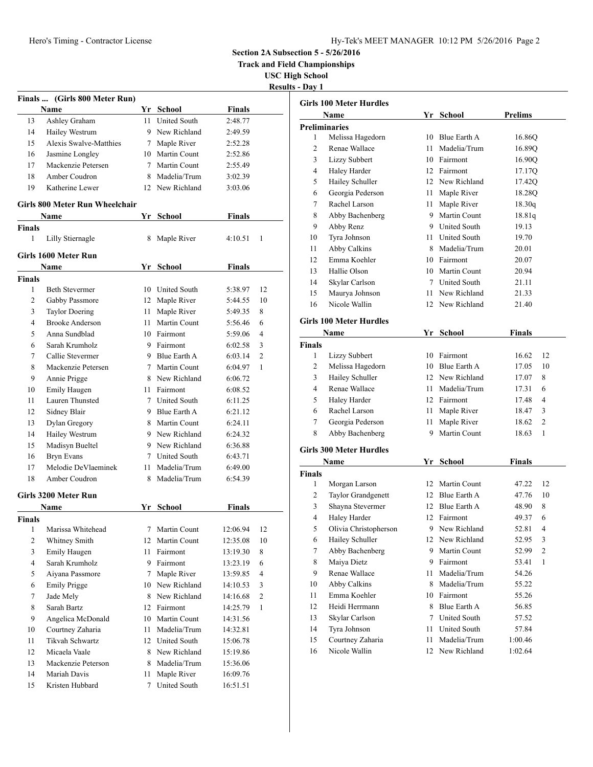#### Hero's Timing - Contractor License Hy-Tek's MEET MANAGER 10:12 PM 5/26/2016 Page 2

**Section 2A Subsection 5 - 5/26/2016**

**Track and Field Championships**

**USC High School** ults - Day 1

|                |                                       |      |                     |               | Res            |
|----------------|---------------------------------------|------|---------------------|---------------|----------------|
|                | Finals  (Girls 800 Meter Run)         |      |                     |               |                |
|                | Name                                  |      | Yr School           | Finals        |                |
| 13             | Ashley Graham                         | 11.  | <b>United South</b> | 2:48.77       |                |
| 14             | Hailey Westrum                        |      | 9 New Richland      | 2:49.59       |                |
| 15             | Alexis Swalve-Matthies                |      | 7 Maple River       | 2:52.28       |                |
| 16             | Jasmine Longley                       |      | 10 Martin Count     | 2:52.86       |                |
| 17             | Mackenzie Petersen                    |      | 7 Martin Count      | 2:55.49       |                |
| 18             | Amber Coudron                         |      | 8 Madelia/Trum      | 3:02.39       |                |
| 19             | Katherine Lewer                       |      | 12 New Richland     | 3:03.06       |                |
|                | <b>Girls 800 Meter Run Wheelchair</b> |      |                     |               |                |
|                | Name                                  |      | Yr School           | <b>Finals</b> |                |
| <b>Finals</b>  |                                       |      |                     |               |                |
| $\mathbf{1}$   | Lilly Stiernagle                      | 8    | Maple River         | 4:10.51       | 1              |
|                | Girls 1600 Meter Run                  |      |                     |               |                |
|                | Name                                  |      | Yr School           | Finals        |                |
| Finals         |                                       |      |                     |               |                |
| 1              | <b>Beth Stevermer</b>                 |      | 10 United South     | 5:38.97       | 12             |
| 2              | Gabby Passmore                        |      | 12 Maple River      | 5:44.55       | 10             |
| 3              | <b>Taylor Doering</b>                 |      | 11 Maple River      | 5:49.35       | 8              |
| 4              | <b>Brooke Anderson</b>                | 11 - | Martin Count        | 5:56.46       | 6              |
| 5              | Anna Sundblad                         |      | 10 Fairmont         | 5:59.06       | $\overline{4}$ |
| 6              | Sarah Krumholz                        |      | 9 Fairmont          | 6:02.58       | 3              |
| 7              | Callie Stevermer                      |      | 9 Blue Earth A      | 6:03.14       | 2              |
| 8              | Mackenzie Petersen                    |      | 7 Martin Count      | 6:04.97       | 1              |
| 9              | Annie Prigge                          |      | 8 New Richland      | 6:06.72       |                |
| 10             | Emily Haugen                          |      | 11 Fairmont         | 6:08.52       |                |
| 11             | Lauren Thunsted                       |      | 7 United South      | 6:11.25       |                |
| 12             | Sidney Blair                          |      | 9 Blue Earth A      | 6:21.12       |                |
| 13             | Dylan Gregory                         |      | 8 Martin Count      | 6:24.11       |                |
| 14             | Hailey Westrum                        |      | 9 New Richland      | 6:24.32       |                |
| 15             | Madisyn Bueltel                       |      | 9 New Richland      | 6:36.88       |                |
| 16             | <b>Bryn Evans</b>                     |      | 7 United South      | 6:43.71       |                |
| 17             | Melodie DeVlaeminek                   | 11   | Madelia/Trum        | 6:49.00       |                |
| 18             | Amber Coudron                         | 8    | Madelia/Trum        | 6:54.39       |                |
|                | Girls 3200 Meter Run                  |      |                     |               |                |
|                | <b>Name</b>                           |      | Yr School           | <b>Finals</b> |                |
| Finals         |                                       |      |                     |               |                |
| 1              | Marissa Whitehead                     |      | 7 Martin Count      | 12:06.94      | 12             |
| $\overline{c}$ | Whitney Smith                         |      | 12 Martin Count     | 12:35.08      | 10             |
| 3              | Emily Haugen                          | 11   | Fairmont            | 13:19.30      | 8              |
| 4              | Sarah Krumholz                        |      | 9 Fairmont          | 13:23.19      | 6              |
| 5              | Aiyana Passmore                       | 7    | Maple River         | 13:59.85      | 4              |
| 6              | Emily Prigge                          |      | 10 New Richland     | 14:10.53      | 3              |
| 7              | Jade Mely                             |      | 8 New Richland      | 14:16.68      | 2              |
| 8              | Sarah Bartz                           |      | 12 Fairmont         | 14:25.79      | $\mathbf{1}$   |
| 9              | Angelica McDonald                     |      | 10 Martin Count     | 14:31.56      |                |
| 10             | Courtney Zaharia                      | 11 - | Madelia/Trum        | 14:32.81      |                |
| 11             | Tikvah Schwartz                       |      | 12 United South     | 15:06.78      |                |
| 12             | Micaela Vaale                         |      | 8 New Richland      | 15:19.86      |                |
| 13             | Mackenzie Peterson                    |      | 8 Madelia/Trum      | 15:36.06      |                |
| 14             | Mariah Davis                          | 11   | Maple River         | 16:09.76      |                |
| 15             | Kristen Hubbard                       | 7    | United South        | 16:51.51      |                |
|                |                                       |      |                     |               |                |

|                | <b>Girls 100 Meter Hurdles</b> |    |                 |                         |
|----------------|--------------------------------|----|-----------------|-------------------------|
|                | <b>Name</b>                    |    | Yr School       | <b>Prelims</b>          |
|                | <b>Preliminaries</b>           |    |                 |                         |
| 1              | Melissa Hagedorn               |    | 10 Blue Earth A | 16.86Q                  |
| $\overline{c}$ | Renae Wallace                  | 11 | Madelia/Trum    | 16.89Q                  |
| 3              | <b>Lizzy Subbert</b>           |    | 10 Fairmont     | 16.90Q                  |
| $\overline{4}$ | Haley Harder                   |    | 12 Fairmont     | 17.17Q                  |
| 5              | Hailey Schuller                |    | 12 New Richland | 17.42Q                  |
| 6              | Georgia Pederson               |    | 11 Maple River  | 18.28Q                  |
| 7              | Rachel Larson                  |    | 11 Maple River  | 18.30q                  |
| 8              | Abby Bachenberg                |    | 9 Martin Count  | 18.81q                  |
| 9              | Abby Renz                      |    | 9 United South  | 19.13                   |
| 10             | Tyra Johnson                   |    | 11 United South | 19.70                   |
| 11             | Abby Calkins                   |    | 8 Madelia/Trum  | 20.01                   |
| 12             | Emma Koehler                   |    | 10 Fairmont     | 20.07                   |
| 13             | Hallie Olson                   |    | 10 Martin Count | 20.94                   |
| 14             | Skylar Carlson                 |    | 7 United South  | 21.11                   |
| 15             | Maurya Johnson                 |    | 11 New Richland | 21.33                   |
| 16             | Nicole Wallin                  |    | 12 New Richland | 21.40                   |
|                | <b>Girls 100 Meter Hurdles</b> |    |                 |                         |
|                | Name                           | Yr | School          | <b>Finals</b>           |
| <b>Finals</b>  |                                |    |                 |                         |
| $\mathbf{1}$   | <b>Lizzy Subbert</b>           |    | 10 Fairmont     | 12<br>16.62             |
| 2              | Melissa Hagedorn               |    | 10 Blue Earth A | 10<br>17.05             |
| 3              | Hailey Schuller                |    | 12 New Richland | 8<br>17.07              |
| $\overline{4}$ | Renae Wallace                  | 11 | Madelia/Trum    | 17.31<br>6              |
| 5              | Haley Harder                   |    | 12 Fairmont     | $\overline{4}$<br>17.48 |
| 6              | Rachel Larson                  | 11 | Maple River     | 3<br>18.47              |
| 7              | Georgia Pederson               | 11 | Maple River     | $\overline{2}$<br>18.62 |
| 8              | Abby Bachenberg                | 9  | Martin Count    | 18.63<br>1              |
|                | <b>Girls 300 Meter Hurdles</b> |    |                 |                         |
|                | Name                           |    | Yr School       | <b>Finals</b>           |
| <b>Finals</b>  |                                |    |                 |                         |
| 1              | Morgan Larson                  |    | 12 Martin Count | 47.22<br>12             |
| $\overline{c}$ | <b>Taylor Grandgenett</b>      |    | 12 Blue Earth A | 10<br>47.76             |
| 3              | Shayna Stevermer               |    | 12 Blue Earth A | 8<br>48.90              |
| 4              | Haley Harder                   |    | 12 Fairmont     | 49.37<br>6              |
| 5              | Olivia Christopherson          |    | 9 New Richland  | $\overline{4}$<br>52.81 |
| 6              | Hailey Schuller                |    | 12 New Richland | 3<br>52.95              |
| 7              | Abby Bachenberg                |    | 9 Martin Count  | $\overline{2}$<br>52.99 |
| 8              | Maiya Dietz                    |    | 9 Fairmont      | 1<br>53.41              |
| 9              | Renae Wallace                  | 11 | Madelia/Trum    | 54.26                   |
| 10             | Abby Calkins                   | 8  | Madelia/Trum    | 55.22                   |

| -10 | Abby Calkins     | 8 Madelia/Trum  | 55.22   |
|-----|------------------|-----------------|---------|
| -11 | Emma Koehler     | 10 Fairmont     | 55.26   |
| 12  | Heidi Herrmann   | 8 Blue Earth A  | 56.85   |
| 13  | Skylar Carlson   | 7 United South  | 57.52   |
| 14  | Tyra Johnson     | 11 United South | 57.84   |
| -15 | Courtney Zaharia | 11 Madelia/Trum | 1:00.46 |

Nicole Wallin 12 New Richland 1:02.64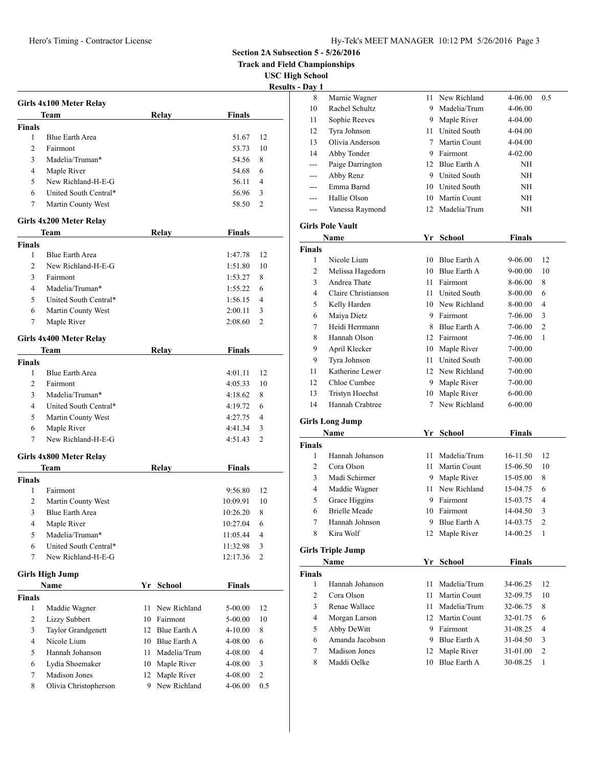## Hy-Tek's MEET MANAGER 10:12 PM 5/26/2016 Page 3

**Section 2A Subsection 5 - 5/26/2016**

**Track and Field Championships**

**USC High School**

**Results - Day 1**

|                |                         |    |                 |               | Resun |
|----------------|-------------------------|----|-----------------|---------------|-------|
|                | Girls 4x100 Meter Relay |    |                 |               |       |
|                | Team                    |    | Relay           | Finals        |       |
| <b>Finals</b>  |                         |    |                 |               |       |
| 1              | <b>Blue Earth Area</b>  |    |                 | 51.67         | 12    |
| $\overline{c}$ | Fairmont                |    |                 | 53.73         | 10    |
| 3              | Madelia/Truman*         |    |                 | 54.56         | 8     |
| 4              | Maple River             |    |                 | 54.68         | 6     |
| 5              | New Richland-H-E-G      |    |                 | 56.11         | 4     |
| 6              | United South Central*   |    |                 | 56.96         | 3     |
| 7              | Martin County West      |    |                 | 58.50         | 2     |
|                | Girls 4x200 Meter Relay |    |                 |               |       |
|                | Team                    |    | Relay           | Finals        |       |
| <b>Finals</b>  |                         |    |                 |               |       |
| 1              | <b>Blue Earth Area</b>  |    |                 | 1:47.78       | 12    |
| $\overline{c}$ | New Richland-H-E-G      |    |                 | 1:51.80       | 10    |
| 3              | Fairmont                |    |                 | 1:53.27       | 8     |
| 4              | Madelia/Truman*         |    |                 | 1:55.22       | 6     |
| 5              | United South Central*   |    |                 | 1:56.15       | 4     |
| 6              | Martin County West      |    |                 | 2:00.11       | 3     |
| 7              | Maple River             |    |                 | 2:08.60       | 2     |
|                | Girls 4x400 Meter Relay |    |                 |               |       |
|                | Team                    |    | Relay           | Finals        |       |
| <b>Finals</b>  |                         |    |                 |               |       |
| 1              | <b>Blue Earth Area</b>  |    |                 | 4:01.11       | 12    |
| 2              | Fairmont                |    |                 | 4:05.33       | 10    |
| 3              | Madelia/Truman*         |    |                 | 4:18.62       | 8     |
| 4              | United South Central*   |    |                 | 4:19.72       | 6     |
| 5              | Martin County West      |    |                 | 4:27.75       | 4     |
| 6              | Maple River             |    |                 | 4:41.34       | 3     |
| 7              | New Richland-H-E-G      |    |                 | 4:51.43       | 2     |
|                | Girls 4x800 Meter Relay |    |                 |               |       |
|                | Team                    |    | Relay           | <b>Finals</b> |       |
| <b>Finals</b>  |                         |    |                 |               |       |
| 1              | Fairmont                |    |                 | 9:56.80       | 12    |
| 2              | Martin County West      |    |                 | 10:09.91      | 10    |
| 3              | <b>Blue Earth Area</b>  |    |                 | 10:26.20      | 8     |
| 4              | Maple River             |    |                 | 10:27.04      | 6     |
| 5              | Madelia/Truman*         |    |                 | 11:05.44      | 4     |
| 6              | United South Central*   |    |                 | 11:32.98      | 3     |
| 7              | New Richland-H-E-G      |    |                 | 12:17.36      | 2     |
|                | <b>Girls High Jump</b>  |    |                 |               |       |
|                | Name                    | Yr | School          | <b>Finals</b> |       |
| <b>Finals</b>  |                         |    |                 |               |       |
| 1              | Maddie Wagner           | 11 | New Richland    | 5-00.00       | 12    |
| 2              | <b>Lizzy Subbert</b>    |    | 10 Fairmont     | 5-00.00       | 10    |
| 3              | Taylor Grandgenett      |    | 12 Blue Earth A | $4 - 10.00$   | 8     |
| 4              | Nicole Lium             |    | 10 Blue Earth A | 4-08.00       | 6     |
| 5              | Hannah Johanson         | 11 | Madelia/Trum    | 4-08.00       | 4     |
| 6              | Lydia Shoemaker         |    | 10 Maple River  | 4-08.00       | 3     |
| 7              | <b>Madison Jones</b>    | 12 | Maple River     | 4-08.00       | 2     |
| 8              | Olivia Christopherson   | 9. | New Richland    | 4-06.00       | 0.5   |
|                |                         |    |                 |               |       |

| s - Day 1      |                          |             |                     |               |                |
|----------------|--------------------------|-------------|---------------------|---------------|----------------|
| 8              | Marnie Wagner            | 11          | New Richland        | 4-06.00       | 0.5            |
| 10             | Rachel Schultz           | 9           | Madelia/Trum        | 4-06.00       |                |
| 11             | Sophie Reeves            | 9.          | Maple River         | 4-04.00       |                |
| 12             | Tyra Johnson             | 11 -        | <b>United South</b> | 4-04.00       |                |
| 13             | Olivia Anderson          | $7^{\circ}$ | Martin Count        | 4-04.00       |                |
| 14             | Abby Tonder              |             | 9 Fairmont          | 4-02.00       |                |
| ---            | Paige Darrington         |             | 12 Blue Earth A     | ΝH            |                |
| ---            | Abby Renz                | 9           | United South        | NH            |                |
| ---            | Emma Barnd               | 10          | United South        | ΝH            |                |
| ---            | Hallie Olson             | 10          | Martin Count        | ΝH            |                |
| ---            | Vanessa Raymond          | 12          | Madelia/Trum        | NΗ            |                |
|                | <b>Girls Pole Vault</b>  |             |                     |               |                |
|                | Name                     |             | Yr School           | <b>Finals</b> |                |
| <b>Finals</b>  |                          |             |                     |               |                |
| 1              | Nicole Lium              | 10          | Blue Earth A        | 9-06.00       | 12             |
| 2              | Melissa Hagedorn         |             | 10 Blue Earth A     | 9-00.00       | 10             |
| 3              | Andrea Thate             | 11          | Fairmont            | 8-06.00       | 8              |
| $\overline{4}$ | Claire Christianson      |             | 11 United South     | 8-00.00       | 6              |
| 5              | Kelly Harden             |             | 10 New Richland     | 8-00.00       | 4              |
| 6              | Maiya Dietz              | 9           | Fairmont            | 7-06.00       | 3              |
| 7              | Heidi Herrmann           | 8           | Blue Earth A        | 7-06.00       | $\overline{2}$ |
| 8              | Hannah Olson             | 12          | Fairmont            | 7-06.00       | 1              |
| 9              | April Klecker            | 10          | Maple River         | 7-00.00       |                |
| 9              | Tyra Johnson             | 11          | <b>United South</b> | 7-00.00       |                |
| 11             | Katherine Lewer          |             | 12 New Richland     | 7-00.00       |                |
| 12             | Chloe Cumbee             | 9           | Maple River         | 7-00.00       |                |
| 13             | <b>Tristyn Hoechst</b>   | 10          | Maple River         | 6-00.00       |                |
| 14             | Hannah Crabtree          | 7           | New Richland        | $6 - 00.00$   |                |
|                | <b>Girls Long Jump</b>   |             |                     |               |                |
|                | Name                     |             | Yr School           | <b>Finals</b> |                |
| <b>Finals</b>  |                          |             |                     |               |                |
| 1              | Hannah Johanson          | 11          | Madelia/Trum        | 16-11.50      | 12             |
| 2              | Cora Olson               | 11          | Martin Count        | 15-06.50      | 10             |
| 3              | Madi Schirmer            | 9           | Maple River         | 15-05.00      | 8              |
| 4              | Maddie Wagner            | 11          | New Richland        | 15-04.75      | 6              |
| 5              | Grace Higgins            | 9           | Fairmont            | 15-03.75      | 4              |
| 6              | <b>Brielle Meade</b>     | 10          | Fairmont            | 14-04.50      | 3              |
| 7              | Hannah Johnson           | 9           | Blue Earth A        | 14-03.75      | 2              |
| 8              | Kira Wolf                | 12          | Maple River         | 14-00.25      | 1              |
|                | <b>Girls Triple Jump</b> |             |                     |               |                |
|                | Name                     |             | Yr School           | Finals        |                |
| Finals         |                          |             |                     |               |                |
| 1              | Hannah Johanson          | 11          | Madelia/Trum        | 34-06.25      | 12             |
| 2              | Cora Olson               | 11          | Martin Count        | 32-09.75      | 10             |
| 3              | Renae Wallace            | 11          | Madelia/Trum        | 32-06.75      | 8              |
| 4              | Morgan Larson            | 12          | Martin Count        | 32-01.75      | 6              |
| 5              | Abby DeWitt              | 9           | Fairmont            | 31-08.25      | 4              |
| 6              | Amanda Jacobson          | 9.          | Blue Earth A        | 31-04.50      | 3              |
| 7              | Madison Jones            | 12          | Maple River         | 31-01.00      | $\overline{c}$ |
| 8              | Maddi Oelke              | 10          | Blue Earth A        | 30-08.25      | 1              |
|                |                          |             |                     |               |                |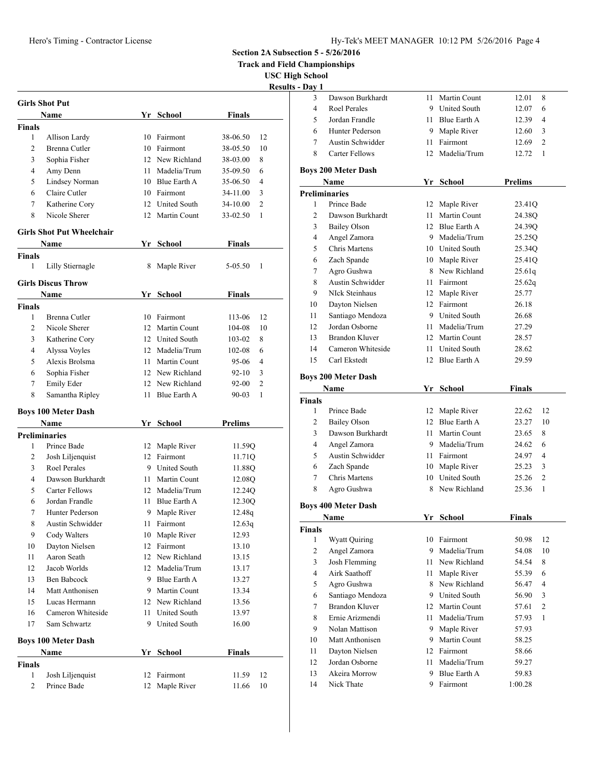**Track and Field Championships**

**USC High School**

|                |                                  |    |                     |                | vэu п<br><b>Resul</b> |
|----------------|----------------------------------|----|---------------------|----------------|-----------------------|
|                | <b>Girls Shot Put</b>            |    |                     |                |                       |
|                | Name                             | Yr | <b>School</b>       | Finals         |                       |
| <b>Finals</b>  |                                  |    |                     |                |                       |
| $\mathbf{1}$   | Allison Lardy                    | 10 | Fairmont            | 38-06.50       | 12                    |
| 2              | Brenna Cutler                    | 10 | Fairmont            | 38-05.50       | 10                    |
| 3              | Sophia Fisher                    |    | 12 New Richland     | 38-03.00       | 8                     |
| 4              | Amy Denn                         | 11 | Madelia/Trum        | 35-09.50       | 6                     |
| 5              | Lindsey Norman                   | 10 | Blue Earth A        | 35-06.50       | 4                     |
| 6              | Claire Cutler                    | 10 | Fairmont            | 34-11.00       | 3                     |
| 7              | Katherine Cory                   | 12 | <b>United South</b> | 34-10.00       | $\overline{c}$        |
| 8              | Nicole Sherer                    | 12 | Martin Count        | 33-02.50       | 1                     |
|                |                                  |    |                     |                |                       |
|                | <b>Girls Shot Put Wheelchair</b> |    |                     |                |                       |
|                | Name                             | Yr | <b>School</b>       | <b>Finals</b>  |                       |
| <b>Finals</b>  |                                  |    |                     |                |                       |
| $\mathbf{1}$   | Lilly Stiernagle                 | 8  | Maple River         | 5-05.50        | 1                     |
|                | <b>Girls Discus Throw</b>        |    |                     |                |                       |
|                | Name                             |    | Yr School           | Finals         |                       |
| <b>Finals</b>  |                                  |    |                     |                |                       |
| 1              | Brenna Cutler                    | 10 | Fairmont            | 113-06         | 12                    |
| 2              | Nicole Sherer                    | 12 | Martin Count        | 104-08         | 10                    |
| 3              | Katherine Cory                   | 12 | <b>United South</b> | 103-02         | 8                     |
| 4              | Alyssa Voyles                    | 12 | Madelia/Trum        | 102-08         | 6                     |
| 5              | Alexis Brolsma                   | 11 | Martin Count        | 95-06          | 4                     |
| 6              | Sophia Fisher                    | 12 | New Richland        | $92 - 10$      | 3                     |
| 7              | <b>Emily Eder</b>                | 12 | New Richland        | 92-00          | $\overline{c}$        |
| 8              | Samantha Ripley                  | 11 | Blue Earth A        | 90-03          | 1                     |
|                | <b>Boys 100 Meter Dash</b>       |    |                     |                |                       |
|                | Name                             |    | Yr School           | <b>Prelims</b> |                       |
|                | <b>Preliminaries</b>             |    |                     |                |                       |
| 1              | Prince Bade                      | 12 | Maple River         | 11.59Q         |                       |
| 2              | Josh Liljenquist                 | 12 | Fairmont            | 11.71Q         |                       |
| 3              | Roel Perales                     | 9  | United South        | 11.88Q         |                       |
| 4              | Dawson Burkhardt                 | 11 | Martin Count        | 12.08Q         |                       |
| 5              | <b>Carter Fellows</b>            | 12 | Madelia/Trum        | 12.24Q         |                       |
| 6              | Jordan Frandle                   | 11 | Blue Earth A        | 12.30Q         |                       |
| 7.             | Hunter Pederson                  | 9  | Maple River         | 12.48q         |                       |
| 8              | Austin Schwidder                 | 11 | Fairmont            | 12.63q         |                       |
| 9              | Cody Walters                     | 10 | Maple River         | 12.93          |                       |
| 10             | Dayton Nielsen                   |    | 12 Fairmont         | 13.10          |                       |
| 11             | Aaron Seath                      |    | 12 New Richland     | 13.15          |                       |
| 12             | Jacob Worlds                     |    | 12 Madelia/Trum     | 13.17          |                       |
| 13             |                                  |    | 9 Blue Earth A      |                |                       |
|                | Ben Babcock                      |    |                     | 13.27          |                       |
| 14             | Matt Anthonisen                  |    | 9 Martin Count      | 13.34          |                       |
| 15             | Lucas Hermann                    |    | 12 New Richland     | 13.56          |                       |
| 16             | Cameron Whiteside                | 11 | United South        | 13.97          |                       |
| 17             | Sam Schwartz                     | 9. | United South        | 16.00          |                       |
|                | <b>Boys 100 Meter Dash</b>       |    |                     |                |                       |
|                | Name                             | Yr | <b>School</b>       | <b>Finals</b>  |                       |
| <b>Finals</b>  |                                  |    |                     |                |                       |
| 1              | Josh Liljenquist                 | 12 | Fairmont            | 11.59          | 12                    |
| $\overline{c}$ | Prince Bade                      | 12 | Maple River         | 11.66          | 10                    |

| 3              | Dawson Burkhardt           | 11        | Martin Count        | 12.01<br>8              |
|----------------|----------------------------|-----------|---------------------|-------------------------|
| 4              | Roel Perales               | 9         | <b>United South</b> | 12.07<br>6              |
| 5              | Jordan Frandle             | 11        | Blue Earth A        | 4<br>12.39              |
| 6              | Hunter Pederson            |           | 9 Maple River       | 12.60<br>3              |
| 7              | Austin Schwidder           | 11        | Fairmont            | $\overline{2}$<br>12.69 |
| 8              | <b>Carter Fellows</b>      |           | 12 Madelia/Trum     | 1<br>12.72              |
|                | <b>Boys 200 Meter Dash</b> |           |                     |                         |
|                | Name                       |           | Yr School           | <b>Prelims</b>          |
|                | <b>Preliminaries</b>       |           |                     |                         |
| 1              | Prince Bade                | 12        | Maple River         | 23.41Q                  |
| 2              | Dawson Burkhardt           | 11        | Martin Count        | 24.38Q                  |
| 3              | <b>Bailey Olson</b>        | 12        | Blue Earth A        | 24.39Q                  |
| 4              | Angel Zamora               | 9         | Madelia/Trum        | 25.25Q                  |
| 5              | Chris Martens              |           | 10 United South     | 25.34Q                  |
| 6              | Zach Spande                |           | 10 Maple River      | 25.41Q                  |
| 7              | Agro Gushwa                | 8         | New Richland        | 25.61q                  |
| 8              | Austin Schwidder           | 11        | Fairmont            | 25.62q                  |
| 9              | NIck Steinhaus             |           | 12 Maple River      | 25.77                   |
| 10             | Dayton Nielsen             |           | 12 Fairmont         | 26.18                   |
| 11             | Santiago Mendoza           | 9         | <b>United South</b> | 26.68                   |
| 12             | Jordan Osborne             | 11.       | Madelia/Trum        | 27.29                   |
| 13             | <b>Brandon Kluver</b>      |           | 12 Martin Count     | 28.57                   |
| 14             | Cameron Whiteside          | 11.       | United South        | 28.62                   |
| 15             | Carl Ekstedt               | 12        | Blue Earth A        | 29.59                   |
|                | <b>Boys 200 Meter Dash</b> |           |                     |                         |
|                | Name                       |           | Yr School           | Finals                  |
| <b>Finals</b>  |                            |           |                     |                         |
| 1              | Prince Bade                |           | 12 Maple River      | 12<br>22.62             |
| 2              | <b>Bailey Olson</b>        |           | 12 Blue Earth A     | 23.27<br>10             |
| 3              | Dawson Burkhardt           | 11        | Martin Count        | 23.65<br>8              |
| 4              | Angel Zamora               | 9         | Madelia/Trum        | 24.62<br>6              |
| 5              | Austin Schwidder           | 11        | Fairmont            | 24.97<br>4              |
| 6              | Zach Spande                | 10        | Maple River         | 3<br>25.23              |
| 7              | Chris Martens              | 10        | United South        | 25.26<br>2              |
| 8              | Agro Gushwa                | 8         | New Richland        | 25.36<br>1              |
|                | <b>Boys 400 Meter Dash</b> |           |                     |                         |
|                | <b>Name</b>                | <u>Yr</u> | <b>School</b>       | <b>Finals</b>           |
| Finals         |                            |           |                     |                         |
| 1              | Wyatt Quiring              | 10        | Fairmont            | 50.98<br>12             |
| $\overline{c}$ | Angel Zamora               | 9         | Madelia/Trum        | 10<br>54.08             |
| 3              | Josh Flemming              | 11        | New Richland        | 8<br>54.54              |
| $\overline{4}$ | Airk Saathoff              | 11        | Maple River         | 6<br>55.39              |
| 5              | Agro Gushwa                | 8         | New Richland        | $\overline{4}$<br>56.47 |
| 6              | Santiago Mendoza           | 9         | United South        | 56.90<br>3              |
| $\overline{7}$ | <b>Brandon Kluver</b>      | 12        | Martin Count        | $\overline{c}$<br>57.61 |
| 8              | Ernie Arizmendi            | 11        | Madelia/Trum        | 57.93<br>1              |
| 9              | Nolan Mattison             | 9         | Maple River         | 57.93                   |
| 10             | Matt Anthonisen            | 9         | Martin Count        | 58.25                   |
|                |                            | 12        | Fairmont            | 58.66                   |
| 11             |                            |           |                     |                         |
| 12             | Jordan Osborne             | 11        | Madelia/Trum        | 59.27                   |
| 13             | Akeira Morrow              | 9         | Blue Earth A        | 59.83                   |
|                | Dayton Nielsen             |           |                     |                         |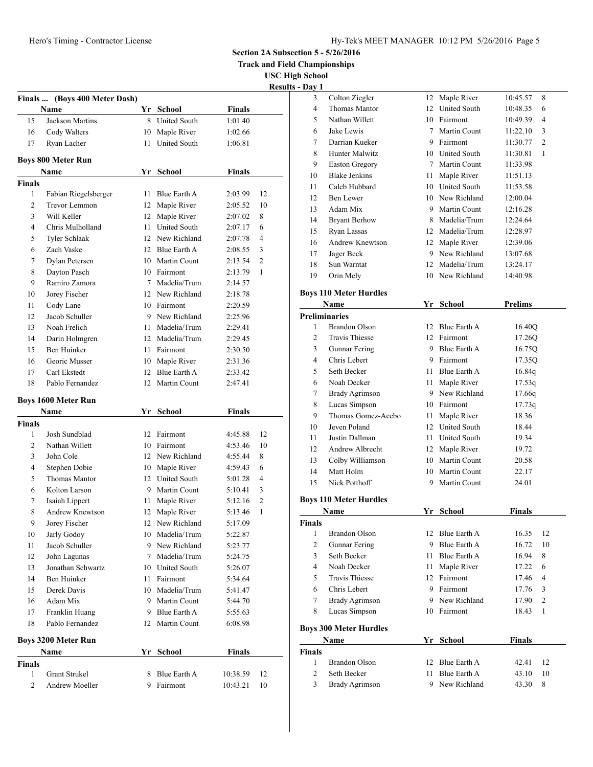## Hero's Timing - Contractor License Hy-Tek's MEET MANAGER 10:12 PM 5/26/2016 Page 5

**Section 2A Subsection 5 - 5/26/2016**

**Track and Field Championships**

**USC High School**

| <b>Results - Dav</b> |  |  |  |  |  |
|----------------------|--|--|--|--|--|
|                      |  |  |  |  |  |

|                            |                                                                                                                                                                                                                                                                                                                                                                                                                                                                                                                                                                                                                                                                                                                                                           |                                                                                                                                                                                                                                                                            |                                                                                                                                                                                                                                                                                                                                                                                                                                                                                                                                                                                                                                                                                                                                 | <b>Result</b>                                                                                                                                                                                                                                                                                                                                                                                                                                                                                                                         |
|----------------------------|-----------------------------------------------------------------------------------------------------------------------------------------------------------------------------------------------------------------------------------------------------------------------------------------------------------------------------------------------------------------------------------------------------------------------------------------------------------------------------------------------------------------------------------------------------------------------------------------------------------------------------------------------------------------------------------------------------------------------------------------------------------|----------------------------------------------------------------------------------------------------------------------------------------------------------------------------------------------------------------------------------------------------------------------------|---------------------------------------------------------------------------------------------------------------------------------------------------------------------------------------------------------------------------------------------------------------------------------------------------------------------------------------------------------------------------------------------------------------------------------------------------------------------------------------------------------------------------------------------------------------------------------------------------------------------------------------------------------------------------------------------------------------------------------|---------------------------------------------------------------------------------------------------------------------------------------------------------------------------------------------------------------------------------------------------------------------------------------------------------------------------------------------------------------------------------------------------------------------------------------------------------------------------------------------------------------------------------------|
|                            |                                                                                                                                                                                                                                                                                                                                                                                                                                                                                                                                                                                                                                                                                                                                                           |                                                                                                                                                                                                                                                                            |                                                                                                                                                                                                                                                                                                                                                                                                                                                                                                                                                                                                                                                                                                                                 |                                                                                                                                                                                                                                                                                                                                                                                                                                                                                                                                       |
|                            |                                                                                                                                                                                                                                                                                                                                                                                                                                                                                                                                                                                                                                                                                                                                                           |                                                                                                                                                                                                                                                                            |                                                                                                                                                                                                                                                                                                                                                                                                                                                                                                                                                                                                                                                                                                                                 |                                                                                                                                                                                                                                                                                                                                                                                                                                                                                                                                       |
|                            |                                                                                                                                                                                                                                                                                                                                                                                                                                                                                                                                                                                                                                                                                                                                                           |                                                                                                                                                                                                                                                                            |                                                                                                                                                                                                                                                                                                                                                                                                                                                                                                                                                                                                                                                                                                                                 |                                                                                                                                                                                                                                                                                                                                                                                                                                                                                                                                       |
|                            |                                                                                                                                                                                                                                                                                                                                                                                                                                                                                                                                                                                                                                                                                                                                                           |                                                                                                                                                                                                                                                                            |                                                                                                                                                                                                                                                                                                                                                                                                                                                                                                                                                                                                                                                                                                                                 |                                                                                                                                                                                                                                                                                                                                                                                                                                                                                                                                       |
|                            |                                                                                                                                                                                                                                                                                                                                                                                                                                                                                                                                                                                                                                                                                                                                                           |                                                                                                                                                                                                                                                                            |                                                                                                                                                                                                                                                                                                                                                                                                                                                                                                                                                                                                                                                                                                                                 |                                                                                                                                                                                                                                                                                                                                                                                                                                                                                                                                       |
| <b>Boys 800 Meter Run</b>  |                                                                                                                                                                                                                                                                                                                                                                                                                                                                                                                                                                                                                                                                                                                                                           |                                                                                                                                                                                                                                                                            |                                                                                                                                                                                                                                                                                                                                                                                                                                                                                                                                                                                                                                                                                                                                 |                                                                                                                                                                                                                                                                                                                                                                                                                                                                                                                                       |
|                            |                                                                                                                                                                                                                                                                                                                                                                                                                                                                                                                                                                                                                                                                                                                                                           |                                                                                                                                                                                                                                                                            |                                                                                                                                                                                                                                                                                                                                                                                                                                                                                                                                                                                                                                                                                                                                 |                                                                                                                                                                                                                                                                                                                                                                                                                                                                                                                                       |
|                            |                                                                                                                                                                                                                                                                                                                                                                                                                                                                                                                                                                                                                                                                                                                                                           |                                                                                                                                                                                                                                                                            |                                                                                                                                                                                                                                                                                                                                                                                                                                                                                                                                                                                                                                                                                                                                 |                                                                                                                                                                                                                                                                                                                                                                                                                                                                                                                                       |
|                            |                                                                                                                                                                                                                                                                                                                                                                                                                                                                                                                                                                                                                                                                                                                                                           |                                                                                                                                                                                                                                                                            |                                                                                                                                                                                                                                                                                                                                                                                                                                                                                                                                                                                                                                                                                                                                 | 12                                                                                                                                                                                                                                                                                                                                                                                                                                                                                                                                    |
|                            |                                                                                                                                                                                                                                                                                                                                                                                                                                                                                                                                                                                                                                                                                                                                                           |                                                                                                                                                                                                                                                                            |                                                                                                                                                                                                                                                                                                                                                                                                                                                                                                                                                                                                                                                                                                                                 | 10                                                                                                                                                                                                                                                                                                                                                                                                                                                                                                                                    |
|                            |                                                                                                                                                                                                                                                                                                                                                                                                                                                                                                                                                                                                                                                                                                                                                           |                                                                                                                                                                                                                                                                            |                                                                                                                                                                                                                                                                                                                                                                                                                                                                                                                                                                                                                                                                                                                                 | 8<br>6                                                                                                                                                                                                                                                                                                                                                                                                                                                                                                                                |
|                            |                                                                                                                                                                                                                                                                                                                                                                                                                                                                                                                                                                                                                                                                                                                                                           |                                                                                                                                                                                                                                                                            |                                                                                                                                                                                                                                                                                                                                                                                                                                                                                                                                                                                                                                                                                                                                 | $\overline{4}$                                                                                                                                                                                                                                                                                                                                                                                                                                                                                                                        |
|                            |                                                                                                                                                                                                                                                                                                                                                                                                                                                                                                                                                                                                                                                                                                                                                           |                                                                                                                                                                                                                                                                            |                                                                                                                                                                                                                                                                                                                                                                                                                                                                                                                                                                                                                                                                                                                                 |                                                                                                                                                                                                                                                                                                                                                                                                                                                                                                                                       |
|                            |                                                                                                                                                                                                                                                                                                                                                                                                                                                                                                                                                                                                                                                                                                                                                           |                                                                                                                                                                                                                                                                            |                                                                                                                                                                                                                                                                                                                                                                                                                                                                                                                                                                                                                                                                                                                                 | 3                                                                                                                                                                                                                                                                                                                                                                                                                                                                                                                                     |
|                            |                                                                                                                                                                                                                                                                                                                                                                                                                                                                                                                                                                                                                                                                                                                                                           |                                                                                                                                                                                                                                                                            |                                                                                                                                                                                                                                                                                                                                                                                                                                                                                                                                                                                                                                                                                                                                 | 2                                                                                                                                                                                                                                                                                                                                                                                                                                                                                                                                     |
|                            |                                                                                                                                                                                                                                                                                                                                                                                                                                                                                                                                                                                                                                                                                                                                                           |                                                                                                                                                                                                                                                                            |                                                                                                                                                                                                                                                                                                                                                                                                                                                                                                                                                                                                                                                                                                                                 | 1                                                                                                                                                                                                                                                                                                                                                                                                                                                                                                                                     |
|                            |                                                                                                                                                                                                                                                                                                                                                                                                                                                                                                                                                                                                                                                                                                                                                           |                                                                                                                                                                                                                                                                            |                                                                                                                                                                                                                                                                                                                                                                                                                                                                                                                                                                                                                                                                                                                                 |                                                                                                                                                                                                                                                                                                                                                                                                                                                                                                                                       |
|                            |                                                                                                                                                                                                                                                                                                                                                                                                                                                                                                                                                                                                                                                                                                                                                           |                                                                                                                                                                                                                                                                            |                                                                                                                                                                                                                                                                                                                                                                                                                                                                                                                                                                                                                                                                                                                                 |                                                                                                                                                                                                                                                                                                                                                                                                                                                                                                                                       |
|                            |                                                                                                                                                                                                                                                                                                                                                                                                                                                                                                                                                                                                                                                                                                                                                           |                                                                                                                                                                                                                                                                            |                                                                                                                                                                                                                                                                                                                                                                                                                                                                                                                                                                                                                                                                                                                                 |                                                                                                                                                                                                                                                                                                                                                                                                                                                                                                                                       |
|                            |                                                                                                                                                                                                                                                                                                                                                                                                                                                                                                                                                                                                                                                                                                                                                           |                                                                                                                                                                                                                                                                            |                                                                                                                                                                                                                                                                                                                                                                                                                                                                                                                                                                                                                                                                                                                                 |                                                                                                                                                                                                                                                                                                                                                                                                                                                                                                                                       |
|                            |                                                                                                                                                                                                                                                                                                                                                                                                                                                                                                                                                                                                                                                                                                                                                           |                                                                                                                                                                                                                                                                            |                                                                                                                                                                                                                                                                                                                                                                                                                                                                                                                                                                                                                                                                                                                                 |                                                                                                                                                                                                                                                                                                                                                                                                                                                                                                                                       |
|                            |                                                                                                                                                                                                                                                                                                                                                                                                                                                                                                                                                                                                                                                                                                                                                           |                                                                                                                                                                                                                                                                            |                                                                                                                                                                                                                                                                                                                                                                                                                                                                                                                                                                                                                                                                                                                                 |                                                                                                                                                                                                                                                                                                                                                                                                                                                                                                                                       |
|                            |                                                                                                                                                                                                                                                                                                                                                                                                                                                                                                                                                                                                                                                                                                                                                           |                                                                                                                                                                                                                                                                            |                                                                                                                                                                                                                                                                                                                                                                                                                                                                                                                                                                                                                                                                                                                                 |                                                                                                                                                                                                                                                                                                                                                                                                                                                                                                                                       |
|                            |                                                                                                                                                                                                                                                                                                                                                                                                                                                                                                                                                                                                                                                                                                                                                           |                                                                                                                                                                                                                                                                            |                                                                                                                                                                                                                                                                                                                                                                                                                                                                                                                                                                                                                                                                                                                                 |                                                                                                                                                                                                                                                                                                                                                                                                                                                                                                                                       |
|                            |                                                                                                                                                                                                                                                                                                                                                                                                                                                                                                                                                                                                                                                                                                                                                           |                                                                                                                                                                                                                                                                            |                                                                                                                                                                                                                                                                                                                                                                                                                                                                                                                                                                                                                                                                                                                                 |                                                                                                                                                                                                                                                                                                                                                                                                                                                                                                                                       |
|                            |                                                                                                                                                                                                                                                                                                                                                                                                                                                                                                                                                                                                                                                                                                                                                           |                                                                                                                                                                                                                                                                            |                                                                                                                                                                                                                                                                                                                                                                                                                                                                                                                                                                                                                                                                                                                                 |                                                                                                                                                                                                                                                                                                                                                                                                                                                                                                                                       |
| <b>Boys 1600 Meter Run</b> |                                                                                                                                                                                                                                                                                                                                                                                                                                                                                                                                                                                                                                                                                                                                                           |                                                                                                                                                                                                                                                                            |                                                                                                                                                                                                                                                                                                                                                                                                                                                                                                                                                                                                                                                                                                                                 |                                                                                                                                                                                                                                                                                                                                                                                                                                                                                                                                       |
|                            |                                                                                                                                                                                                                                                                                                                                                                                                                                                                                                                                                                                                                                                                                                                                                           |                                                                                                                                                                                                                                                                            |                                                                                                                                                                                                                                                                                                                                                                                                                                                                                                                                                                                                                                                                                                                                 |                                                                                                                                                                                                                                                                                                                                                                                                                                                                                                                                       |
|                            |                                                                                                                                                                                                                                                                                                                                                                                                                                                                                                                                                                                                                                                                                                                                                           |                                                                                                                                                                                                                                                                            |                                                                                                                                                                                                                                                                                                                                                                                                                                                                                                                                                                                                                                                                                                                                 |                                                                                                                                                                                                                                                                                                                                                                                                                                                                                                                                       |
|                            |                                                                                                                                                                                                                                                                                                                                                                                                                                                                                                                                                                                                                                                                                                                                                           |                                                                                                                                                                                                                                                                            |                                                                                                                                                                                                                                                                                                                                                                                                                                                                                                                                                                                                                                                                                                                                 | 12                                                                                                                                                                                                                                                                                                                                                                                                                                                                                                                                    |
|                            |                                                                                                                                                                                                                                                                                                                                                                                                                                                                                                                                                                                                                                                                                                                                                           |                                                                                                                                                                                                                                                                            |                                                                                                                                                                                                                                                                                                                                                                                                                                                                                                                                                                                                                                                                                                                                 | 10                                                                                                                                                                                                                                                                                                                                                                                                                                                                                                                                    |
|                            |                                                                                                                                                                                                                                                                                                                                                                                                                                                                                                                                                                                                                                                                                                                                                           |                                                                                                                                                                                                                                                                            |                                                                                                                                                                                                                                                                                                                                                                                                                                                                                                                                                                                                                                                                                                                                 | 8                                                                                                                                                                                                                                                                                                                                                                                                                                                                                                                                     |
|                            |                                                                                                                                                                                                                                                                                                                                                                                                                                                                                                                                                                                                                                                                                                                                                           |                                                                                                                                                                                                                                                                            |                                                                                                                                                                                                                                                                                                                                                                                                                                                                                                                                                                                                                                                                                                                                 | 6                                                                                                                                                                                                                                                                                                                                                                                                                                                                                                                                     |
|                            |                                                                                                                                                                                                                                                                                                                                                                                                                                                                                                                                                                                                                                                                                                                                                           |                                                                                                                                                                                                                                                                            |                                                                                                                                                                                                                                                                                                                                                                                                                                                                                                                                                                                                                                                                                                                                 | 4                                                                                                                                                                                                                                                                                                                                                                                                                                                                                                                                     |
|                            |                                                                                                                                                                                                                                                                                                                                                                                                                                                                                                                                                                                                                                                                                                                                                           |                                                                                                                                                                                                                                                                            |                                                                                                                                                                                                                                                                                                                                                                                                                                                                                                                                                                                                                                                                                                                                 | 3                                                                                                                                                                                                                                                                                                                                                                                                                                                                                                                                     |
|                            |                                                                                                                                                                                                                                                                                                                                                                                                                                                                                                                                                                                                                                                                                                                                                           |                                                                                                                                                                                                                                                                            |                                                                                                                                                                                                                                                                                                                                                                                                                                                                                                                                                                                                                                                                                                                                 | $\overline{c}$<br>1                                                                                                                                                                                                                                                                                                                                                                                                                                                                                                                   |
|                            |                                                                                                                                                                                                                                                                                                                                                                                                                                                                                                                                                                                                                                                                                                                                                           |                                                                                                                                                                                                                                                                            |                                                                                                                                                                                                                                                                                                                                                                                                                                                                                                                                                                                                                                                                                                                                 |                                                                                                                                                                                                                                                                                                                                                                                                                                                                                                                                       |
|                            |                                                                                                                                                                                                                                                                                                                                                                                                                                                                                                                                                                                                                                                                                                                                                           |                                                                                                                                                                                                                                                                            |                                                                                                                                                                                                                                                                                                                                                                                                                                                                                                                                                                                                                                                                                                                                 |                                                                                                                                                                                                                                                                                                                                                                                                                                                                                                                                       |
|                            |                                                                                                                                                                                                                                                                                                                                                                                                                                                                                                                                                                                                                                                                                                                                                           |                                                                                                                                                                                                                                                                            |                                                                                                                                                                                                                                                                                                                                                                                                                                                                                                                                                                                                                                                                                                                                 |                                                                                                                                                                                                                                                                                                                                                                                                                                                                                                                                       |
|                            |                                                                                                                                                                                                                                                                                                                                                                                                                                                                                                                                                                                                                                                                                                                                                           |                                                                                                                                                                                                                                                                            |                                                                                                                                                                                                                                                                                                                                                                                                                                                                                                                                                                                                                                                                                                                                 |                                                                                                                                                                                                                                                                                                                                                                                                                                                                                                                                       |
|                            |                                                                                                                                                                                                                                                                                                                                                                                                                                                                                                                                                                                                                                                                                                                                                           |                                                                                                                                                                                                                                                                            |                                                                                                                                                                                                                                                                                                                                                                                                                                                                                                                                                                                                                                                                                                                                 |                                                                                                                                                                                                                                                                                                                                                                                                                                                                                                                                       |
|                            |                                                                                                                                                                                                                                                                                                                                                                                                                                                                                                                                                                                                                                                                                                                                                           |                                                                                                                                                                                                                                                                            |                                                                                                                                                                                                                                                                                                                                                                                                                                                                                                                                                                                                                                                                                                                                 |                                                                                                                                                                                                                                                                                                                                                                                                                                                                                                                                       |
|                            |                                                                                                                                                                                                                                                                                                                                                                                                                                                                                                                                                                                                                                                                                                                                                           |                                                                                                                                                                                                                                                                            |                                                                                                                                                                                                                                                                                                                                                                                                                                                                                                                                                                                                                                                                                                                                 |                                                                                                                                                                                                                                                                                                                                                                                                                                                                                                                                       |
|                            |                                                                                                                                                                                                                                                                                                                                                                                                                                                                                                                                                                                                                                                                                                                                                           |                                                                                                                                                                                                                                                                            |                                                                                                                                                                                                                                                                                                                                                                                                                                                                                                                                                                                                                                                                                                                                 |                                                                                                                                                                                                                                                                                                                                                                                                                                                                                                                                       |
|                            |                                                                                                                                                                                                                                                                                                                                                                                                                                                                                                                                                                                                                                                                                                                                                           |                                                                                                                                                                                                                                                                            |                                                                                                                                                                                                                                                                                                                                                                                                                                                                                                                                                                                                                                                                                                                                 |                                                                                                                                                                                                                                                                                                                                                                                                                                                                                                                                       |
|                            |                                                                                                                                                                                                                                                                                                                                                                                                                                                                                                                                                                                                                                                                                                                                                           |                                                                                                                                                                                                                                                                            |                                                                                                                                                                                                                                                                                                                                                                                                                                                                                                                                                                                                                                                                                                                                 |                                                                                                                                                                                                                                                                                                                                                                                                                                                                                                                                       |
|                            |                                                                                                                                                                                                                                                                                                                                                                                                                                                                                                                                                                                                                                                                                                                                                           |                                                                                                                                                                                                                                                                            |                                                                                                                                                                                                                                                                                                                                                                                                                                                                                                                                                                                                                                                                                                                                 |                                                                                                                                                                                                                                                                                                                                                                                                                                                                                                                                       |
| <b>Boys 3200 Meter Run</b> |                                                                                                                                                                                                                                                                                                                                                                                                                                                                                                                                                                                                                                                                                                                                                           |                                                                                                                                                                                                                                                                            |                                                                                                                                                                                                                                                                                                                                                                                                                                                                                                                                                                                                                                                                                                                                 |                                                                                                                                                                                                                                                                                                                                                                                                                                                                                                                                       |
|                            |                                                                                                                                                                                                                                                                                                                                                                                                                                                                                                                                                                                                                                                                                                                                                           |                                                                                                                                                                                                                                                                            |                                                                                                                                                                                                                                                                                                                                                                                                                                                                                                                                                                                                                                                                                                                                 |                                                                                                                                                                                                                                                                                                                                                                                                                                                                                                                                       |
|                            |                                                                                                                                                                                                                                                                                                                                                                                                                                                                                                                                                                                                                                                                                                                                                           |                                                                                                                                                                                                                                                                            |                                                                                                                                                                                                                                                                                                                                                                                                                                                                                                                                                                                                                                                                                                                                 |                                                                                                                                                                                                                                                                                                                                                                                                                                                                                                                                       |
|                            |                                                                                                                                                                                                                                                                                                                                                                                                                                                                                                                                                                                                                                                                                                                                                           |                                                                                                                                                                                                                                                                            |                                                                                                                                                                                                                                                                                                                                                                                                                                                                                                                                                                                                                                                                                                                                 | 12                                                                                                                                                                                                                                                                                                                                                                                                                                                                                                                                    |
|                            |                                                                                                                                                                                                                                                                                                                                                                                                                                                                                                                                                                                                                                                                                                                                                           |                                                                                                                                                                                                                                                                            |                                                                                                                                                                                                                                                                                                                                                                                                                                                                                                                                                                                                                                                                                                                                 | 10                                                                                                                                                                                                                                                                                                                                                                                                                                                                                                                                    |
|                            | Name<br><b>Jackson Martins</b><br>Cody Walters<br>Ryan Lacher<br>Name<br>Fabian Riegelsberger<br>Trevor Lemmon<br>Will Keller<br>Chris Mulholland<br>Tyler Schlaak<br>Zach Vaske<br>Dylan Petersen<br>Dayton Pasch<br>Ramiro Zamora<br>Jorey Fischer<br>Cody Lane<br>Jacob Schuller<br>Noah Frelich<br>Darin Holmgren<br>Ben Huinker<br>Georic Musser<br>Carl Ekstedt<br>Pablo Fernandez<br>Name<br>Josh Sundblad<br>Nathan Willett<br>John Cole<br>Stephen Dobie<br>Thomas Mantor<br>Kolton Larson<br>Isaiah Lippert<br>Andrew Knewtson<br>Jorey Fischer<br>Jarly Godoy<br>Jacob Schuller<br>John Lagunas<br>Jonathan Schwartz<br>Ben Huinker<br>Derek Davis<br>Adam Mix<br>Franklin Huang<br>Pablo Fernandez<br>Name<br>Grant Strukel<br>Andrew Moeller | Finals  (Boys 400 Meter Dash)<br>8<br>10<br>11<br>11<br>12<br>12<br>11<br>12<br>12<br>10<br>10<br>7<br>12<br>10<br>9<br>11<br>12<br>11<br>10<br>12<br>12<br>12<br>10<br>12<br>10<br>12<br>9<br>11<br>12<br>12<br>10<br>9.<br>7<br>10<br>11<br>10<br>9<br>9<br>12<br>8<br>9 | Yr School<br>United South<br>Maple River<br><b>United South</b><br>Yr<br>School<br>Blue Earth A<br>Maple River<br>Maple River<br>United South<br>New Richland<br>Blue Earth A<br><b>Martin Count</b><br>Fairmont<br>Madelia/Trum<br>New Richland<br>Fairmont<br>New Richland<br>Madelia/Trum<br>Madelia/Trum<br>Fairmont<br>Maple River<br>Blue Earth A<br>Martin Count<br>Yr School<br>Fairmont<br>Fairmont<br>New Richland<br>Maple River<br>United South<br>Martin Count<br>Maple River<br>Maple River<br>New Richland<br>Madelia/Trum<br>New Richland<br>Madelia/Trum<br><b>United South</b><br>Fairmont<br>Madelia/Trum<br>Martin Count<br>Blue Earth A<br>Martin Count<br><b>School</b><br>Yr<br>Blue Earth A<br>Fairmont | <b>Finals</b><br>1:01.40<br>1:02.66<br>1:06.81<br><b>Finals</b><br>2:03.99<br>2:05.52<br>2:07.02<br>2:07.17<br>2:07.78<br>2:08.55<br>2:13.54<br>2:13.79<br>2:14.57<br>2:18.78<br>2:20.59<br>2:25.96<br>2:29.41<br>2:29.45<br>2:30.50<br>2:31.36<br>2:33.42<br>2:47.41<br><b>Finals</b><br>4:45.88<br>4:53.46<br>4:55.44<br>4:59.43<br>5:01.28<br>5:10.41<br>5:12.16<br>5:13.46<br>5:17.09<br>5:22.87<br>5:23.77<br>5:24.75<br>5:26.07<br>5:34.64<br>5:41.47<br>5:44.70<br>5:55.63<br>6:08.98<br><b>Finals</b><br>10:38.59<br>10:43.21 |

| ау 1           |                       |    |                     |          |                |
|----------------|-----------------------|----|---------------------|----------|----------------|
| 3              | Colton Ziegler        | 12 | Maple River         | 10:45.57 | 8              |
| $\overline{4}$ | Thomas Mantor         | 12 | <b>United South</b> | 10:48.35 | 6              |
| 5              | Nathan Willett        | 10 | Fairmont            | 10:49.39 | 4              |
| 6              | Jake Lewis            | 7  | Martin Count        | 11:22.10 | 3              |
| 7              | Darrian Kueker        | 9  | Fairmont            | 11:30.77 | $\overline{2}$ |
| 8              | Hunter Malwitz        | 10 | <b>United South</b> | 11:30.81 | 1              |
| 9              | <b>Easton Gregory</b> | 7  | Martin Count        | 11:33.98 |                |
| 10             | <b>Blake Jenkins</b>  | 11 | Maple River         | 11:51.13 |                |
| 11             | Caleb Hubbard         | 10 | <b>United South</b> | 11:53.58 |                |
| 12             | Ben Lewer             | 10 | New Richland        | 12:00.04 |                |
| 13             | Adam Mix              | 9  | Martin Count        | 12:16.28 |                |
| 14             | <b>Bryant Berhow</b>  | 8  | Madelia/Trum        | 12:24.64 |                |
| 15             | Ryan Lassas           | 12 | Madelia/Trum        | 12:28.97 |                |
| 16             | Andrew Knewtson       | 12 | Maple River         | 12:39.06 |                |
| 17             | Jager Beck            | 9  | New Richland        | 13:07.68 |                |
| 18             | Sun Warntat           | 12 | Madelia/Trum        | 13:24.17 |                |
| 19             | Orin Mely             | 10 | New Richland        | 14:40.98 |                |

#### **Boys 110 Meter Hurdles**

| Name |                       | Yr | <b>School</b>       | Prelims |  |
|------|-----------------------|----|---------------------|---------|--|
|      | <b>Preliminaries</b>  |    |                     |         |  |
| 1    | Brandon Olson         | 12 | Blue Earth A        | 16.40O  |  |
| 2    | <b>Travis Thiesse</b> | 12 | Fairmont            | 17.26Q  |  |
| 3    | Gunnar Fering         | 9  | Blue Earth A        | 16.750  |  |
| 4    | Chris Lebert          | 9  | Fairmont            | 17.35Q  |  |
| 5    | Seth Becker           | 11 | Blue Earth A        | 16.84q  |  |
| 6    | Noah Decker           | 11 | Maple River         | 17.53q  |  |
| 7    | Brady Agrimson        | 9  | New Richland        | 17.66g  |  |
| 8    | Lucas Simpson         | 10 | Fairmont            | 17.73q  |  |
| 9    | Thomas Gomez-Acebo    | 11 | Maple River         | 18.36   |  |
| 10   | Jeven Poland          | 12 | <b>United South</b> | 18.44   |  |
| 11   | Justin Dallman        | 11 | <b>United South</b> | 19.34   |  |
| 12   | Andrew Albrecht       | 12 | Maple River         | 19.72   |  |
| 13   | Colby Williamson      | 10 | Martin Count        | 20.58   |  |
| 14   | Matt Holm             | 10 | Martin Count        | 22.17   |  |
| 15   | Nick Potthoff         | 9  | Martin Count        | 24.01   |  |

## **Boys 110 Meter Hurdles**

| Name           |                               | Yr | <b>School</b> | <b>Finals</b> |                |
|----------------|-------------------------------|----|---------------|---------------|----------------|
| <b>Finals</b>  |                               |    |               |               |                |
| 1              | Brandon Olson                 | 12 | Blue Earth A  | 16.35         | 12             |
| 2              | Gunnar Fering                 | 9  | Blue Earth A  | 16.72         | 10             |
| 3              | Seth Becker                   | 11 | Blue Earth A  | 16.94         | 8              |
| $\overline{4}$ | Noah Decker                   | 11 | Maple River   | 17.22         | 6              |
| 5              | <b>Travis Thiesse</b>         | 12 | Fairmont      | 17.46         | 4              |
| 6              | Chris Lebert                  | 9  | Fairmont      | 17.76         | 3              |
| 7              | Brady Agrimson                | 9  | New Richland  | 17.90         | $\overline{c}$ |
| 8              | Lucas Simpson                 | 10 | Fairmont      | 18.43         | 1              |
|                | <b>Boys 300 Meter Hurdles</b> |    |               |               |                |
| Name           |                               | Yг | School        | Finals        |                |
| <b>Finals</b>  |                               |    |               |               |                |
| 1              | <b>Brandon Olson</b>          | 12 | Blue Earth A  | 42.41         | 12             |
| 2              | Seth Becker                   | 11 | Blue Earth A  | 43.10         | 10             |
| 3              | Brady Agrimson                | 9  | New Richland  | 43.30         | 8              |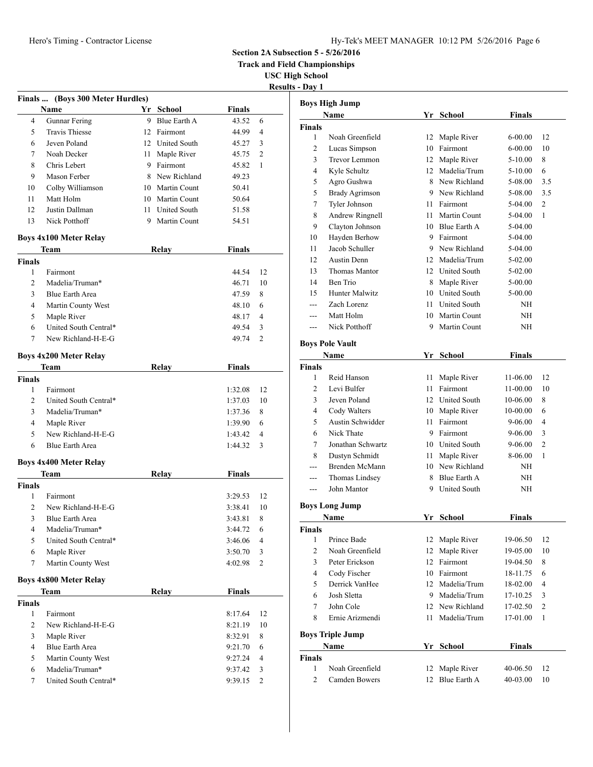**Track and Field Championships**

**USC High School Results - Day 1**

|                |                                  |      |                 |               | rest |
|----------------|----------------------------------|------|-----------------|---------------|------|
|                | Finals  (Boys 300 Meter Hurdles) |      |                 |               |      |
|                | Name                             |      | Yr School       | <b>Finals</b> |      |
| 4              | Gunnar Fering                    |      | 9 Blue Earth A  | 43.52         | 6    |
| 5              | <b>Travis Thiesse</b>            |      | 12 Fairmont     | 44.99         | 4    |
| 6              | Jeven Poland                     |      | 12 United South | 45.27         | 3    |
| 7              | Noah Decker                      |      | 11 Maple River  | 45.75         | 2    |
| 8              | Chris Lebert                     |      | 9 Fairmont      | 45.82         | 1    |
| 9              | Mason Ferber                     |      | 8 New Richland  | 49.23         |      |
| 10             | Colby Williamson                 |      | 10 Martin Count | 50.41         |      |
| 11             | Matt Holm                        |      | 10 Martin Count | 50.64         |      |
| 12             | Justin Dallman                   | 11 - | United South    | 51.58         |      |
| 13             | Nick Potthoff                    |      | 9 Martin Count  | 54.51         |      |
|                | <b>Boys 4x100 Meter Relay</b>    |      |                 |               |      |
|                | Team                             |      | Relay           | <b>Finals</b> |      |
| <b>Finals</b>  |                                  |      |                 |               |      |
| $\mathbf{1}$   | Fairmont                         |      |                 | 44.54         | 12   |
| $\overline{c}$ | Madelia/Truman*                  |      |                 | 46.71         | 10   |
| 3              | Blue Earth Area                  |      |                 | 47.59         | 8    |
| 4              | Martin County West               |      |                 | 48.10         | 6    |
| 5              | Maple River                      |      |                 | 48.17         | 4    |
| 6              | United South Central*            |      |                 | 49.54         | 3    |
| 7              | New Richland-H-E-G               |      |                 | 49.74         | 2    |
|                |                                  |      |                 |               |      |
|                | <b>Boys 4x200 Meter Relay</b>    |      |                 |               |      |
|                | Team                             |      | Relay           | <b>Finals</b> |      |
| <b>Finals</b>  |                                  |      |                 |               |      |
| 1              | Fairmont                         |      |                 | 1:32.08       | 12   |
| 2              | United South Central*            |      |                 | 1:37.03       | 10   |
| 3              | Madelia/Truman*                  |      |                 | 1:37.36       | 8    |
| 4              | Maple River                      |      |                 | 1:39.90       | 6    |
| 5<br>6         | New Richland-H-E-G               |      |                 | 1:43.42       | 4    |
|                | Blue Earth Area                  |      |                 | 1:44.32       | 3    |
|                | <b>Boys 4x400 Meter Relay</b>    |      |                 |               |      |
|                | Team                             |      | Relay           | <b>Finals</b> |      |
| <b>Finals</b>  |                                  |      |                 |               |      |
| 1              | Fairmont                         |      |                 | 3:29.53       | 12   |
| $\overline{c}$ | New Richland-H-E-G               |      |                 | 3:38.41       | 10   |
| 3              | Blue Earth Area                  |      |                 | 3:43.81       | 8    |
| 4              | Madelia/Truman*                  |      |                 | 3:44.72       | 6    |
| 5              | United South Central*            |      |                 | 3:46.06       | 4    |
| 6              | Maple River                      |      |                 | 3:50.70       | 3    |
| 7              | Martin County West               |      |                 | 4:02.98       | 2    |
|                | <b>Boys 4x800 Meter Relay</b>    |      |                 |               |      |
|                | <b>Team</b>                      |      | <b>Relay</b>    | <b>Finals</b> |      |
| <b>Finals</b>  |                                  |      |                 |               |      |
| 1              | Fairmont                         |      |                 | 8:17.64       | 12   |
| 2              | New Richland-H-E-G               |      |                 | 8:21.19       | 10   |
| 3              | Maple River                      |      |                 | 8:32.91       | 8    |
| 4              | <b>Blue Earth Area</b>           |      |                 | 9:21.70       | 6    |
| 5              | Martin County West               |      |                 | 9:27.24       | 4    |
| 6              | Madelia/Truman*                  |      |                 | 9:37.42       | 3    |
| 7              | United South Central*            |      |                 | 9:39.15       | 2    |

|                | <b>Boys High Jump</b>   |    |                     |               |     |
|----------------|-------------------------|----|---------------------|---------------|-----|
|                | Name                    |    | Yr School           | <b>Finals</b> |     |
| <b>Finals</b>  |                         |    |                     |               |     |
| 1              | Noah Greenfield         | 12 | Maple River         | $6 - 00.00$   | 12  |
| 2              | Lucas Simpson           | 10 | Fairmont            | $6 - 00.00$   | 10  |
| 3              | Trevor Lemmon           | 12 | Maple River         | 5-10.00       | 8   |
| 4              | Kyle Schultz            |    | 12 Madelia/Trum     | 5-10.00       | 6   |
| 5              | Agro Gushwa             |    | 8 New Richland      | 5-08.00       | 3.5 |
| 5              | <b>Brady Agrimson</b>   |    | 9 New Richland      | 5-08.00       | 3.5 |
| 7              | Tyler Johnson           |    | 11 Fairmont         | 5-04.00       | 2   |
| 8              | Andrew Ringnell         |    | 11 Martin Count     | 5-04.00       | 1   |
| 9              | Clayton Johnson         |    | 10 Blue Earth A     | 5-04.00       |     |
| 10             | Hayden Berhow           |    | 9 Fairmont          | 5-04.00       |     |
| 11             | Jacob Schuller          |    | 9 New Richland      | 5-04.00       |     |
| 12             | Austin Denn             |    | 12 Madelia/Trum     | 5-02.00       |     |
| 13             | Thomas Mantor           |    | 12 United South     | 5-02.00       |     |
| 14             | Ben Trio                |    | 8 Maple River       | 5-00.00       |     |
| 15             | Hunter Malwitz          |    | 10 United South     | 5-00.00       |     |
| ---            | Zach Lorenz             | 11 | <b>United South</b> | NΗ            |     |
| $---$          | Matt Holm               |    | 10 Martin Count     | NΗ            |     |
| ---            | Nick Potthoff           | 9. | Martin Count        | NΗ            |     |
|                |                         |    |                     |               |     |
|                | <b>Boys Pole Vault</b>  |    |                     |               |     |
|                | Name                    |    | Yr School           | <b>Finals</b> |     |
| <b>Finals</b>  |                         |    |                     |               |     |
| 1              | Reid Hanson             | 11 | Maple River         | 11-06.00      | 12  |
| 2              | Levi Bulfer             | 11 | Fairmont            | 11-00.00      | 10  |
| 3              | Jeven Poland            |    | 12 United South     | 10-06.00      | 8   |
| 4              | Cody Walters            |    | 10 Maple River      | 10-00.00      | 6   |
| 5              | Austin Schwidder        |    | 11 Fairmont         | 9-06.00       | 4   |
| 6              | Nick Thate              |    | 9 Fairmont          | 9-06.00       | 3   |
| 7              | Jonathan Schwartz       |    | 10 United South     | 9-06.00       | 2   |
| 8              | Dustyn Schmidt          | 11 | Maple River         | 8-06.00       | 1   |
|                | Brenden McMann          |    | 10 New Richland     | NH            |     |
| ---            | Thomas Lindsey          | 8  | Blue Earth A        | NΗ            |     |
| $\overline{a}$ | John Mantor             | 9  | <b>United South</b> | NΗ            |     |
|                | <b>Boys Long Jump</b>   |    |                     |               |     |
|                | Name                    |    | Yr School           | <b>Finals</b> |     |
| <b>Finals</b>  |                         |    |                     |               |     |
| $\mathbf{1}$   | Prince Bade             | 12 | Maple River         | 19-06.50      | 12  |
| $\sqrt{2}$     | Noah Greenfield         | 12 | Maple River         | 19-05.00      | 10  |
| 3              | Peter Erickson          | 12 | Fairmont            | 19-04.50      | 8   |
| 4              | Cody Fischer            |    | 10 Fairmont         | 18-11.75      | 6   |
| 5              | Derrick VanHee          |    | 12 Madelia/Trum     | 18-02.00      | 4   |
| 6              | Josh Sletta             | 9. | Madelia/Trum        | 17-10.25      | 3   |
| 7              | John Cole               | 12 | New Richland        | 17-02.50      | 2   |
| 8              | Ernie Arizmendi         | 11 | Madelia/Trum        | 17-01.00      | 1   |
|                |                         |    |                     |               |     |
|                | <b>Boys Triple Jump</b> |    |                     |               |     |
| Name           |                         |    | Yr School           | <b>Finals</b> |     |
| Finals         |                         |    |                     |               |     |
| 1              | Noah Greenfield         | 12 | Maple River         | 40-06.50      | 12  |
| 2              | Camden Bowers           | 12 | Blue Earth A        | 40-03.00      | 10  |
|                |                         |    |                     |               |     |